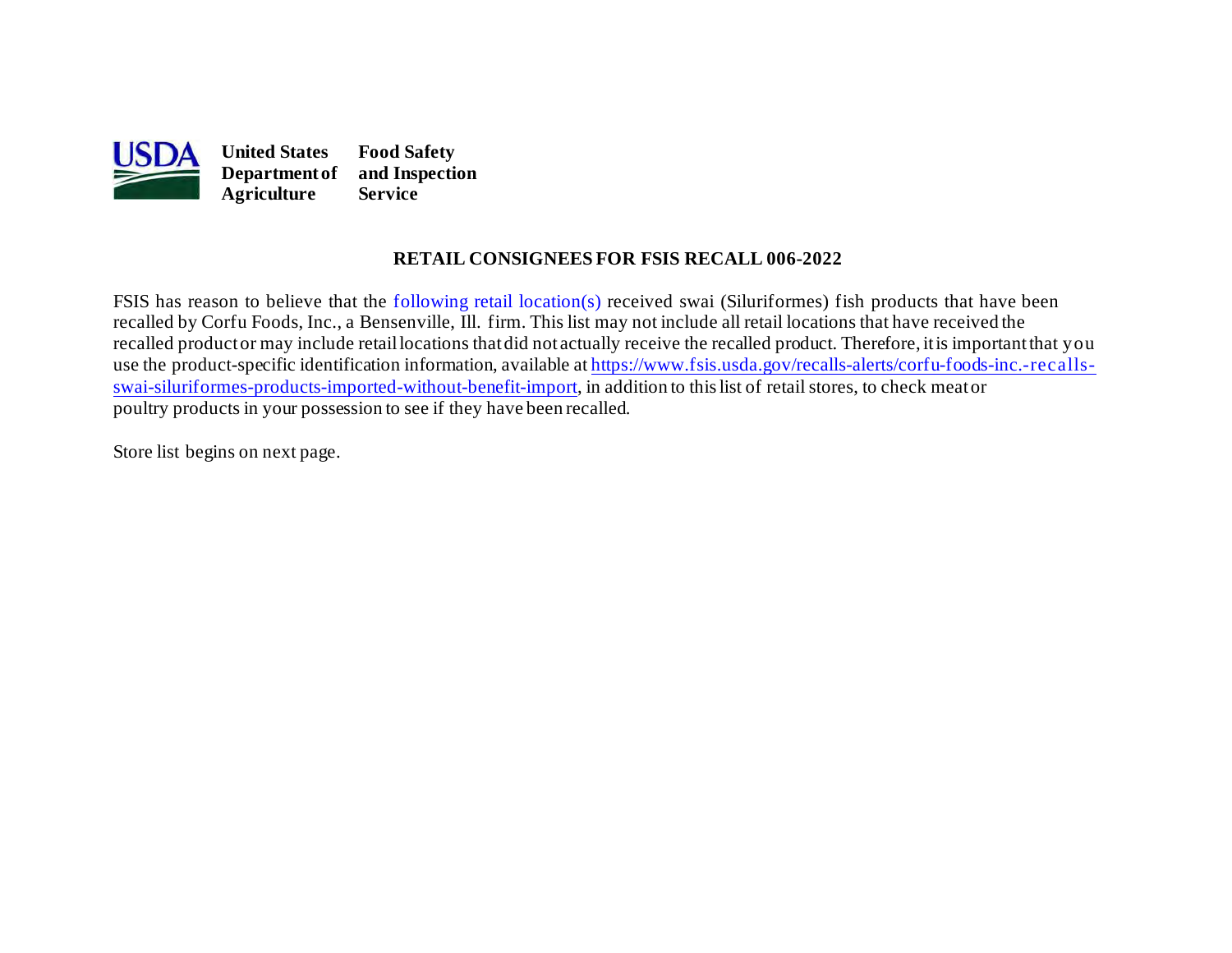

## **RETAIL CONSIGNEES FOR FSIS RECALL 006-2022**

FSIS has reason to believe that the [following retail location\(s\)](#page-1-0) received swai (Siluriformes) fish products that have been recalled by Corfu Foods, Inc., a Bensenville, Ill. firm. This list may not include all retail locations that have received the recalled productor may include retaillocations thatdid not actually receive the recalled product. Therefore, itis importantthat you [swai-siluriformes-products-imported-without-benefit-import](https://www.fsis.usda.gov/recalls-alerts/corfu-foods-inc.-recalls-swai-siluriformes-products-imported-without-benefit-import), in addition to this list of retail stores, to check meator use the product-specific identification information, available at [https://www.fsis.usda.gov/recalls-alerts/corfu-foods-inc.-recalls](https://www.fsis.usda.gov/recalls-alerts/corfu-foods-inc.-recalls-swai-siluriformes-products-imported-without-benefit-import)poultry products in your possession to see if they have been recalled.

Store list begins on [next page.](#page-1-0)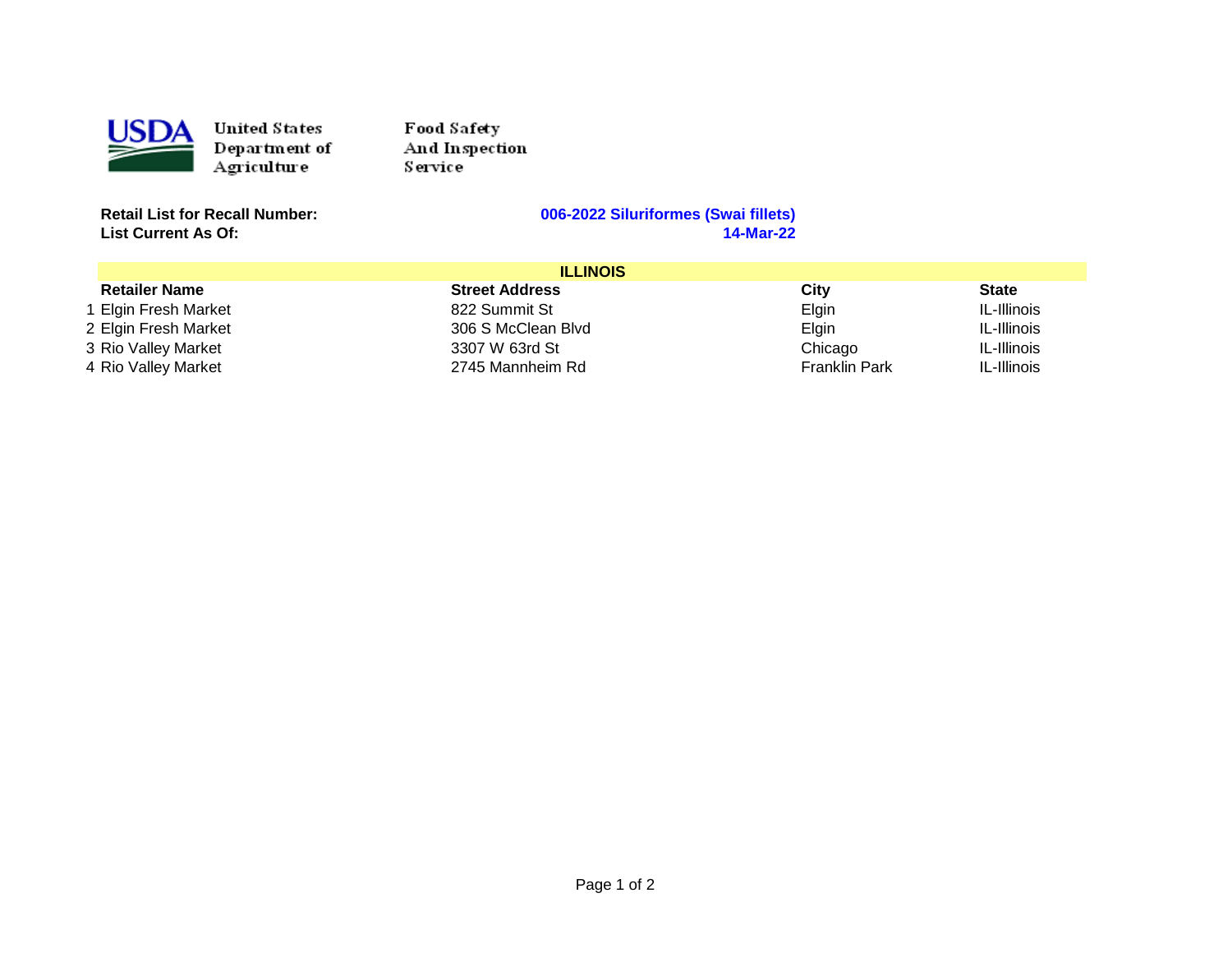<span id="page-1-0"></span>

United States Department of Agriculture

Food Safety And Inspection **Service** 

**List Current As Of:** 

## **Retail List for Recall Number: 006-2022 Siluriformes (Swai fillets)**

| <b>ILLINOIS</b>      |                       |                      |              |
|----------------------|-----------------------|----------------------|--------------|
| <b>Retailer Name</b> | <b>Street Address</b> | City                 | <b>State</b> |
| 1 Elgin Fresh Market | 822 Summit St         | Elgin                | IL-Illinois  |
| 2 Elgin Fresh Market | 306 S McClean Blvd    | Elgin                | IL-Illinois  |
| 3 Rio Valley Market  | 3307 W 63rd St        | Chicago              | IL-Illinois  |
| 4 Rio Valley Market  | 2745 Mannheim Rd      | <b>Franklin Park</b> | IL-Illinois  |